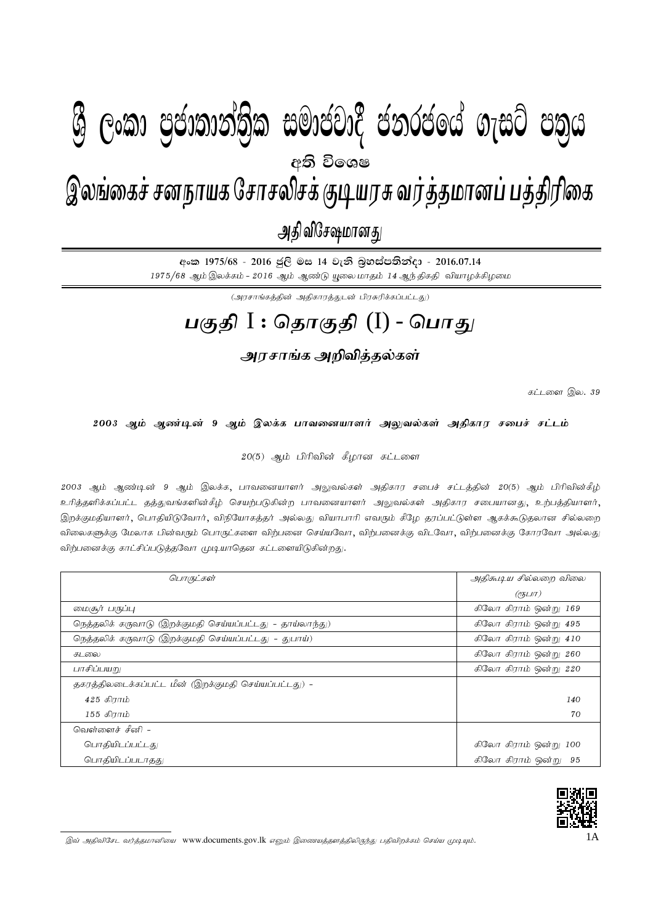## I **fldgi ( ^**I**& jeks fPoh - Y%S ,xld m%cd;dka;%sl iudcjd§ ckrcfha w;s úfYI .eiÜ m;%h - 2016'07'14** 1A gFjp I : njhFjp (I) - ,yq;ifr; rdehaf Nrhryprf; FbauR tu;j;jkhdg; gj;jpupif - mjp tpNr\khdJ - 2016.07.14 இலங்கைச் சனநாயக சோசலிசக் குடியரசு வர்த்தமானப் பத்திரிகை அதி விசேஷமானது  $\mathcal{B}$  George Constanting)ක සමාප්තාර ප්නාර්ථිකය ගැසුර ප්නිෆ අති වි**ං**ශෂ

අංක 1975/68 - 2016 ජුලි මස 14 වැනි බූහස්පතින්දා - 2016.07.14  $1975/68$  ஆம் இலக்கம் -  $2016$  ஆம் ஆண்டு யூலை மாதம்  $14$  ஆந்திகதி வியாழக்கிழமை

 $(\mathcal{A}$ ரசாங்கத்தின் அதிகாரத்துடன் பிரசுரிக்கப்பட்டது)

## **gFjp** I : **njhFjp** (I) - **nghJ**

## அரசாங்க அறிவித்தல்கள்

கட்டளை இல.  $39$ 

2003 ஆம் ஆண்டின் 9 ஆம் இலக்க பாவனையாளர் அலுவல்கள் அதிகார சபைச் சட்டம்

 $20(5)$  ஆம் பிரிவின் கீழான கட்டளை

2003 ஆம் ஆண்டின் 9 ஆம் இலக்க, பாவனையாளர் அலுவல்கள் அதிகார சபைச் சட்டத்தின் 20(5) ஆம் பிரிவின்கீழ் உரித்தளிக்கப்பட்ட தத்துவங்களின்கீழ் செயற்படுகின்ற பாவனையாளர் அலுவல்கள் அதிகார சபையானது, உற்பத்தியாளர், இறக்குமதியாளர், பொதியிடுவோர், விநியோகத்தர் அல்லது வியாபாரி எவரும் கீழே தரப்பட்டுள்ள ஆகக்கூடுதலான சில்லறை விலைகளுக்கு மேலாக பின்வரும் பொருட்களை விற்பனை செய்யவோ, விற்பனைக்கு விடவோ, விற்பனைக்கு கோரவோ அல்லது விற்பனைக்கு காட்சிப்படுத்தவோ முடியாதென கட்டளையிடுகின்றது.

| பொருட்கள்                                                | அதிசுபு ய சில்லறை விலை |
|----------------------------------------------------------|------------------------|
|                                                          | $($ e $5LIT)$          |
| மைசூர் பருப்பு                                           | கிலோ கிராம் ஒன்று 169  |
| நெத்தலிக் கருவாடு (இறக்குமதி செய்யப்பட்டது - தாய்லாந்து) | கிலோ கிராம் ஒன்று 495  |
| நெத்தலிக் கருவாடு (இறக்குமதி செய்யப்பட்டது - துபாய்)     | கிலோ கிராம் ஒன்று 410  |
| கடலை                                                     | கிலோ கிராம் ஒன்று 260  |
| பாசிப்பயறு                                               | கிலோ கிராம் ஒன்று 220  |
| தகரத்திலடைக்கப்பட்ட மீன் (இறக்குமதி செய்யப்பட்டது) -     |                        |
| $425$ கிராம்                                             | 140                    |
| 155 கிராம்                                               | 70                     |
| வெள்ளைச் சீனி –                                          |                        |
| பொதியிடப்பட்டது                                          | கிலோ கிராம் ஒன்று 100  |
| பொகியிடப்படாகது                                          | கிலோ கிராம் ஒன்று 95   |



இவ் அதிவிசேட வர்த்தமானியை www.documents.gov.lk எனும் இணையத்தளத்திலிருந்து பதிவிறக்கம் செய்ய முடியும்.